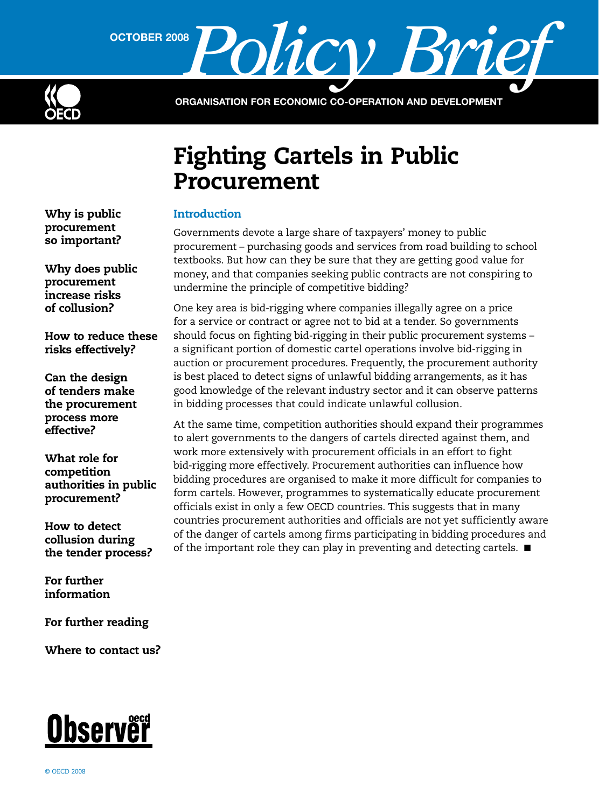

OCTOBER 2008 **Policy** 

Organisation for Economic Co-operation and Development

# Fighting Cartels in Public Procurement

## Introduction

Governments devote a large share of taxpayers' money to public procurement – purchasing goods and services from road building to school textbooks. But how can they be sure that they are getting good value for money, and that companies seeking public contracts are not conspiring to undermine the principle of competitive bidding?

One key area is bid-rigging where companies illegally agree on a price for a service or contract or agree not to bid at a tender. So governments should focus on fighting bid-rigging in their public procurement systems – a significant portion of domestic cartel operations involve bid-rigging in auction or procurement procedures. Frequently, the procurement authority is best placed to detect signs of unlawful bidding arrangements, as it has good knowledge of the relevant industry sector and it can observe patterns in bidding processes that could indicate unlawful collusion.

At the same time, competition authorities should expand their programmes to alert governments to the dangers of cartels directed against them, and work more extensively with procurement officials in an effort to fight bid-rigging more effectively. Procurement authorities can influence how bidding procedures are organised to make it more difficult for companies to form cartels. However, programmes to systematically educate procurement officials exist in only a few OECD countries. This suggests that in many countries procurement authorities and officials are not yet sufficiently aware of the danger of cartels among firms participating in bidding procedures and of the important role they can play in preventing and detecting cartels.  $\blacksquare$ 

[Why is public](#page-1-0)  [procurement](#page-1-0)  so [important?](#page-1-0)

[Why does public](#page-1-0)  [procurement](#page-1-0)  [increase risks](#page-1-0)  [of collusion?](#page-1-0)

[How to reduce these](#page-2-0)  [risks effectively?](#page-2-0)

[Can the design](#page-3-0)  of [tenders make](#page-3-0)  the [procurement](#page-3-0)  [process more](#page-3-0)  [effective?](#page-3-0)

[What role for](#page-4-0)  [competition](#page-4-0)  [authorities in public](#page-4-0)  [procurement?](#page-4-0)

[How to detect](#page-5-0)  [collusion during](#page-5-0)  the [tender process?](#page-5-0)

[For further](#page-6-0)  [information](#page-6-0)

[For further reading](#page-7-0)

[Where to contact us?](#page-7-0)

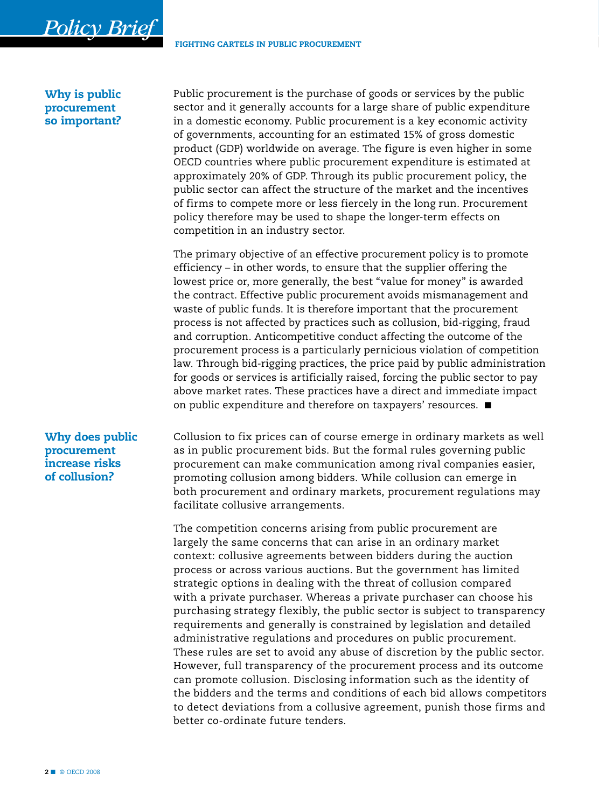## Why is public procurement so important?

<span id="page-1-0"></span> *Policy Brief*

Public procurement is the purchase of goods or services by the public sector and it generally accounts for a large share of public expenditure in a domestic economy. Public procurement is a key economic activity of governments, accounting for an estimated 15% of gross domestic product (GDP) worldwide on average. The figure is even higher in some OECD countries where public procurement expenditure is estimated at approximately 20% of GDP. Through its public procurement policy, the public sector can affect the structure of the market and the incentives of firms to compete more or less fiercely in the long run. Procurement policy therefore may be used to shape the longer-term effects on competition in an industry sector.

The primary objective of an effective procurement policy is to promote efficiency – in other words, to ensure that the supplier offering the lowest price or, more generally, the best "value for money" is awarded the contract. Effective public procurement avoids mismanagement and waste of public funds. It is therefore important that the procurement process is not affected by practices such as collusion, bid-rigging, fraud and corruption. Anticompetitive conduct affecting the outcome of the procurement process is a particularly pernicious violation of competition law. Through bid-rigging practices, the price paid by public administration for goods or services is artificially raised, forcing the public sector to pay above market rates. These practices have a direct and immediate impact on public expenditure and therefore on taxpayers' resources.  $\blacksquare$ 

## Why does public procurement increase risks of collusion?

Collusion to fix prices can of course emerge in ordinary markets as well as in public procurement bids. But the formal rules governing public procurement can make communication among rival companies easier, promoting collusion among bidders. While collusion can emerge in both procurement and ordinary markets, procurement regulations may facilitate collusive arrangements.

The competition concerns arising from public procurement are largely the same concerns that can arise in an ordinary market context: collusive agreements between bidders during the auction process or across various auctions. But the government has limited strategic options in dealing with the threat of collusion compared with a private purchaser. Whereas a private purchaser can choose his purchasing strategy flexibly, the public sector is subject to transparency requirements and generally is constrained by legislation and detailed administrative regulations and procedures on public procurement. These rules are set to avoid any abuse of discretion by the public sector. However, full transparency of the procurement process and its outcome can promote collusion. Disclosing information such as the identity of the bidders and the terms and conditions of each bid allows competitors to detect deviations from a collusive agreement, punish those firms and better co-ordinate future tenders.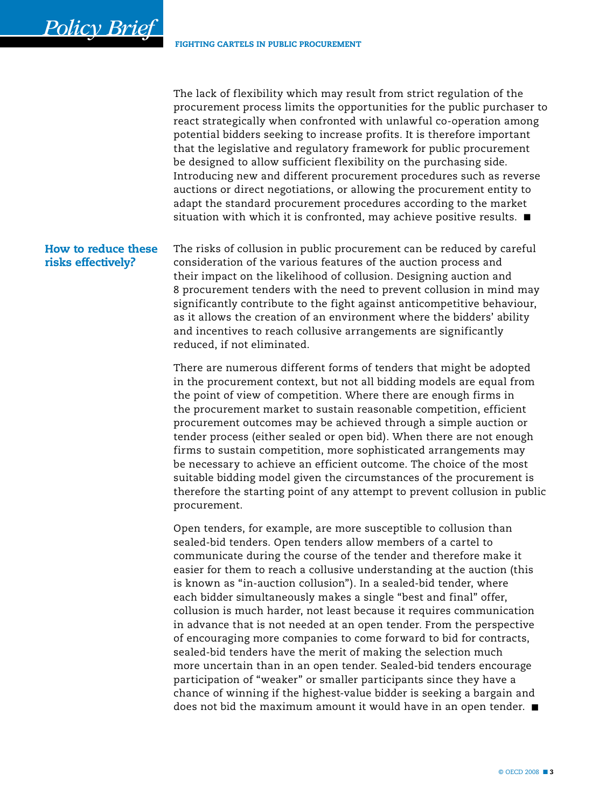<span id="page-2-0"></span> *Policy Brief*

The lack of flexibility which may result from strict regulation of the procurement process limits the opportunities for the public purchaser to react strategically when confronted with unlawful co-operation among potential bidders seeking to increase profits. It is therefore important that the legislative and regulatory framework for public procurement be designed to allow sufficient flexibility on the purchasing side. Introducing new and different procurement procedures such as reverse auctions or direct negotiations, or allowing the procurement entity to adapt the standard procurement procedures according to the market situation with which it is confronted, may achieve positive results.  $\blacksquare$ 

The risks of collusion in public procurement can be reduced by careful consideration of the various features of the auction process and their impact on the likelihood of collusion. Designing auction and 8 procurement tenders with the need to prevent collusion in mind may significantly contribute to the fight against anticompetitive behaviour, as it allows the creation of an environment where the bidders' ability and incentives to reach collusive arrangements are significantly reduced, if not eliminated. How to reduce these risks effectively?

> There are numerous different forms of tenders that might be adopted in the procurement context, but not all bidding models are equal from the point of view of competition. Where there are enough firms in the procurement market to sustain reasonable competition, efficient procurement outcomes may be achieved through a simple auction or tender process (either sealed or open bid). When there are not enough firms to sustain competition, more sophisticated arrangements may be necessary to achieve an efficient outcome. The choice of the most suitable bidding model given the circumstances of the procurement is therefore the starting point of any attempt to prevent collusion in public procurement.

Open tenders, for example, are more susceptible to collusion than sealed-bid tenders. Open tenders allow members of a cartel to communicate during the course of the tender and therefore make it easier for them to reach a collusive understanding at the auction (this is known as "in-auction collusion"). In a sealed-bid tender, where each bidder simultaneously makes a single "best and final" offer, collusion is much harder, not least because it requires communication in advance that is not needed at an open tender. From the perspective of encouraging more companies to come forward to bid for contracts, sealed-bid tenders have the merit of making the selection much more uncertain than in an open tender. Sealed-bid tenders encourage participation of "weaker" or smaller participants since they have a chance of winning if the highest-value bidder is seeking a bargain and does not bid the maximum amount it would have in an open tender.  $\blacksquare$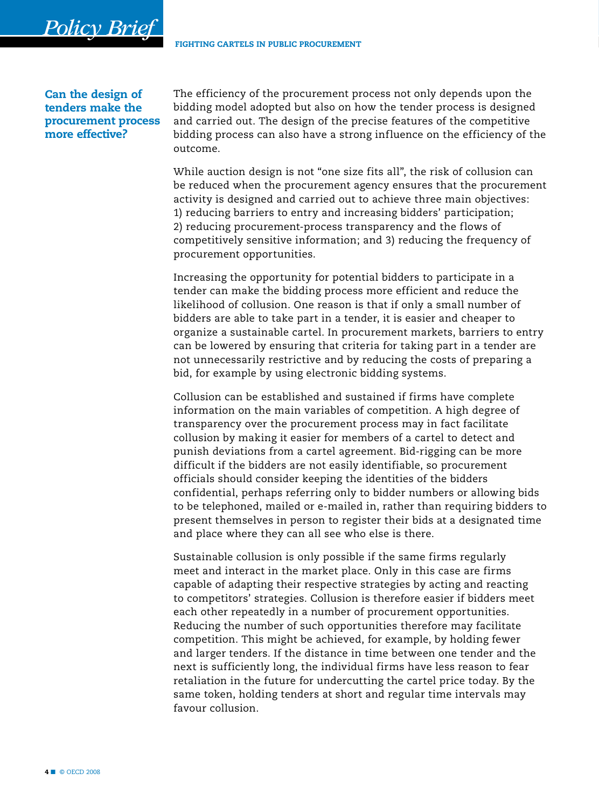Can the design of tenders make the procurement process more effective?

<span id="page-3-0"></span> *Policy Brief*

The efficiency of the procurement process not only depends upon the bidding model adopted but also on how the tender process is designed and carried out. The design of the precise features of the competitive bidding process can also have a strong influence on the efficiency of the outcome.

While auction design is not "one size fits all", the risk of collusion can be reduced when the procurement agency ensures that the procurement activity is designed and carried out to achieve three main objectives: 1) reducing barriers to entry and increasing bidders' participation; 2) reducing procurement-process transparency and the flows of competitively sensitive information; and 3) reducing the frequency of procurement opportunities.

Increasing the opportunity for potential bidders to participate in a tender can make the bidding process more efficient and reduce the likelihood of collusion. One reason is that if only a small number of bidders are able to take part in a tender, it is easier and cheaper to organize a sustainable cartel. In procurement markets, barriers to entry can be lowered by ensuring that criteria for taking part in a tender are not unnecessarily restrictive and by reducing the costs of preparing a bid, for example by using electronic bidding systems.

Collusion can be established and sustained if firms have complete information on the main variables of competition. A high degree of transparency over the procurement process may in fact facilitate collusion by making it easier for members of a cartel to detect and punish deviations from a cartel agreement. Bid-rigging can be more difficult if the bidders are not easily identifiable, so procurement officials should consider keeping the identities of the bidders confidential, perhaps referring only to bidder numbers or allowing bids to be telephoned, mailed or e-mailed in, rather than requiring bidders to present themselves in person to register their bids at a designated time and place where they can all see who else is there.

Sustainable collusion is only possible if the same firms regularly meet and interact in the market place. Only in this case are firms capable of adapting their respective strategies by acting and reacting to competitors' strategies. Collusion is therefore easier if bidders meet each other repeatedly in a number of procurement opportunities. Reducing the number of such opportunities therefore may facilitate competition. This might be achieved, for example, by holding fewer and larger tenders. If the distance in time between one tender and the next is sufficiently long, the individual firms have less reason to fear retaliation in the future for undercutting the cartel price today. By the same token, holding tenders at short and regular time intervals may favour collusion.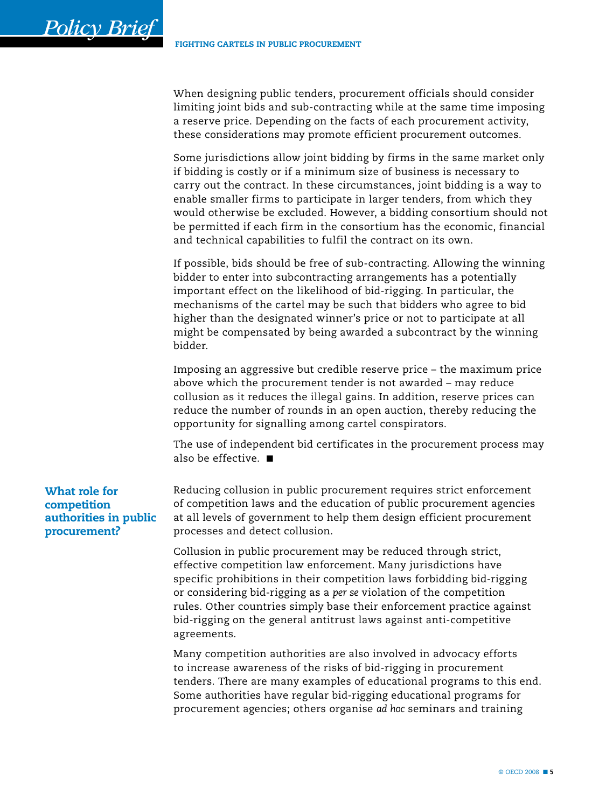When designing public tenders, procurement officials should consider limiting joint bids and sub-contracting while at the same time imposing a reserve price. Depending on the facts of each procurement activity, these considerations may promote efficient procurement outcomes.

Some jurisdictions allow joint bidding by firms in the same market only if bidding is costly or if a minimum size of business is necessary to carry out the contract. In these circumstances, joint bidding is a way to enable smaller firms to participate in larger tenders, from which they would otherwise be excluded. However, a bidding consortium should not be permitted if each firm in the consortium has the economic, financial and technical capabilities to fulfil the contract on its own.

If possible, bids should be free of sub-contracting. Allowing the winning bidder to enter into subcontracting arrangements has a potentially important effect on the likelihood of bid-rigging. In particular, the mechanisms of the cartel may be such that bidders who agree to bid higher than the designated winner's price or not to participate at all might be compensated by being awarded a subcontract by the winning bidder.

Imposing an aggressive but credible reserve price – the maximum price above which the procurement tender is not awarded – may reduce collusion as it reduces the illegal gains. In addition, reserve prices can reduce the number of rounds in an open auction, thereby reducing the opportunity for signalling among cartel conspirators.

The use of independent bid certificates in the procurement process may also be effective.  $\blacksquare$ 

Reducing collusion in public procurement requires strict enforcement of competition laws and the education of public procurement agencies at all levels of government to help them design efficient procurement processes and detect collusion.

Collusion in public procurement may be reduced through strict, effective competition law enforcement. Many jurisdictions have specific prohibitions in their competition laws forbidding bid-rigging or considering bid-rigging as a *per se* violation of the competition rules. Other countries simply base their enforcement practice against bid-rigging on the general antitrust laws against anti-competitive agreements.

Many competition authorities are also involved in advocacy efforts to increase awareness of the risks of bid-rigging in procurement tenders. There are many examples of educational programs to this end. Some authorities have regular bid-rigging educational programs for procurement agencies; others organise *ad hoc* seminars and training

## What role for competition authorities in public procurement?

<span id="page-4-0"></span> *Policy Brief*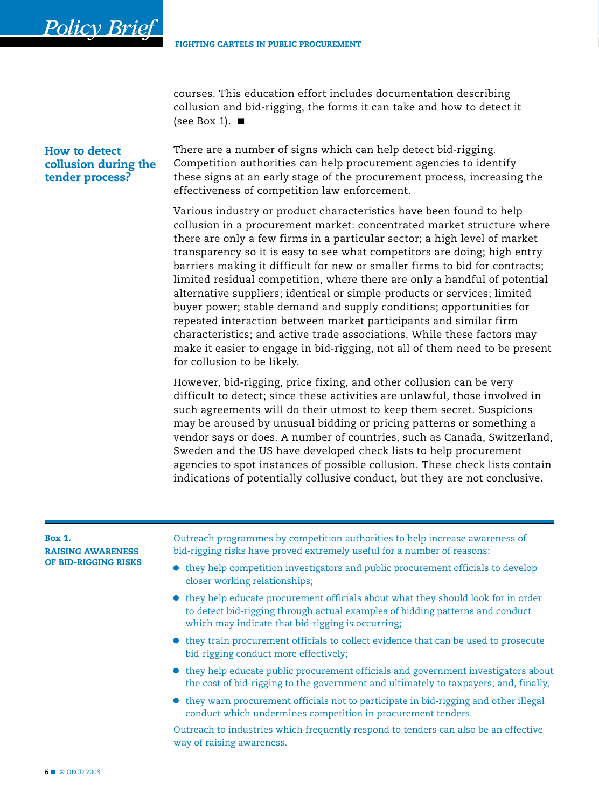courses. This education effort includes documentation describing collusion and bid-rigging, the forms it can take and how to detect it (see Box 1).  $\blacksquare$ 

#### <span id="page-5-0"></span>How to detect collusion during the tender process?

There are a number of signs which can help detect bid-rigging. Competition authorities can help procurement agencies to identify these signs at an early stage of the procurement process, increasing the effectiveness of competition law enforcement.

Various industry or product characteristics have been found to help collusion in a procurement market: concentrated market structure where there are only a few firms in a particular sector; a high level of market transparency so it is easy to see what competitors are doing; high entry barriers making it difficult for new or smaller firms to bid for contracts; limited residual competition, where there are only a handful of potential alternative suppliers; identical or simple products or services; limited buyer power; stable demand and supply conditions; opportunities for repeated interaction between market participants and similar firm characteristics; and active trade associations. While these factors may make it easier to engage in bid-rigging, not all of them need to be present for collusion to be likely.

However, bid-rigging, price fixing, and other collusion can be very difficult to detect; since these activities are unlawful, those involved in such agreements will do their utmost to keep them secret. Suspicions may be aroused by unusual bidding or pricing patterns or something a vendor says or does. A number of countries, such as Canada, Switzerland, Sweden and the US have developed check lists to help procurement agencies to spot instances of possible collusion. These check lists contain indications of potentially collusive conduct, but they are not conclusive.

#### Box 1.

Raising awareness of bid-rigging risks Outreach programmes by competition authorities to help increase awareness of bid-rigging risks have proved extremely useful for a number of reasons:

- they help competition investigators and public procurement officials to develop closer working relationships;
- they help educate procurement officials about what they should look for in order to detect bid-rigging through actual examples of bidding patterns and conduct which may indicate that bid-rigging is occurring;
- • they train procurement officials to collect evidence that can be used to prosecute bid-rigging conduct more effectively;
- they help educate public procurement officials and government investigators about the cost of bid-rigging to the government and ultimately to taxpayers; and, finally,
- they warn procurement officials not to participate in bid-rigging and other illegal conduct which undermines competition in procurement tenders.

Outreach to industries which frequently respond to tenders can also be an effective way of raising awareness.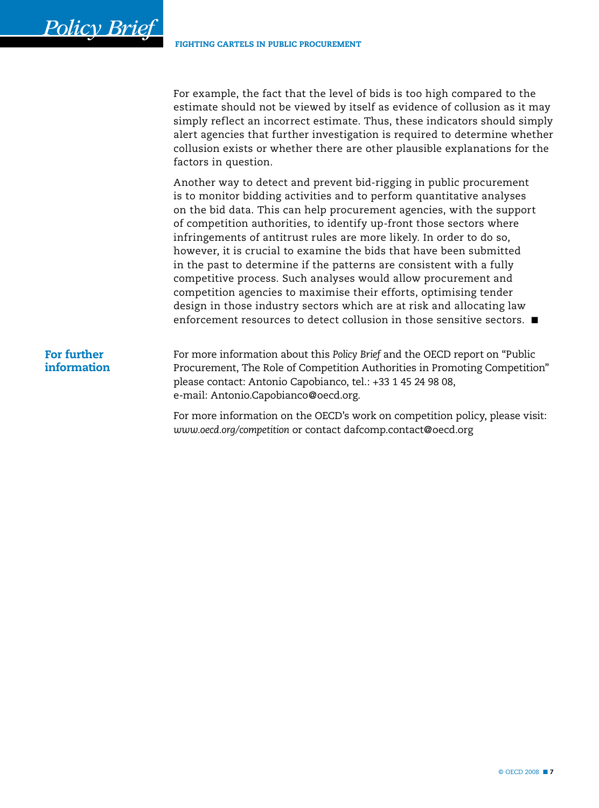For example, the fact that the level of bids is too high compared to the estimate should not be viewed by itself as evidence of collusion as it may simply reflect an incorrect estimate. Thus, these indicators should simply alert agencies that further investigation is required to determine whether collusion exists or whether there are other plausible explanations for the factors in question.

Another way to detect and prevent bid-rigging in public procurement is to monitor bidding activities and to perform quantitative analyses on the bid data. This can help procurement agencies, with the support of competition authorities, to identify up-front those sectors where infringements of antitrust rules are more likely. In order to do so, however, it is crucial to examine the bids that have been submitted in the past to determine if the patterns are consistent with a fully competitive process. Such analyses would allow procurement and competition agencies to maximise their efforts, optimising tender design in those industry sectors which are at risk and allocating law enforcement resources to detect collusion in those sensitive sectors.  $\blacksquare$ 

## For further information

<span id="page-6-0"></span> *Policy Brief*

For more information about this *Policy Brief* and the OECD report on "Public Procurement, The Role of Competition Authorities in Promoting Competition" please contact: Antonio Capobianco, tel.: +33 1 45 24 98 08, e-mail: Antonio.Capobianco@oecd.org.

For more information on the OECD's work on competition policy, please visit: *www.oecd.org/competition* or contact dafcomp.contact@oecd.org